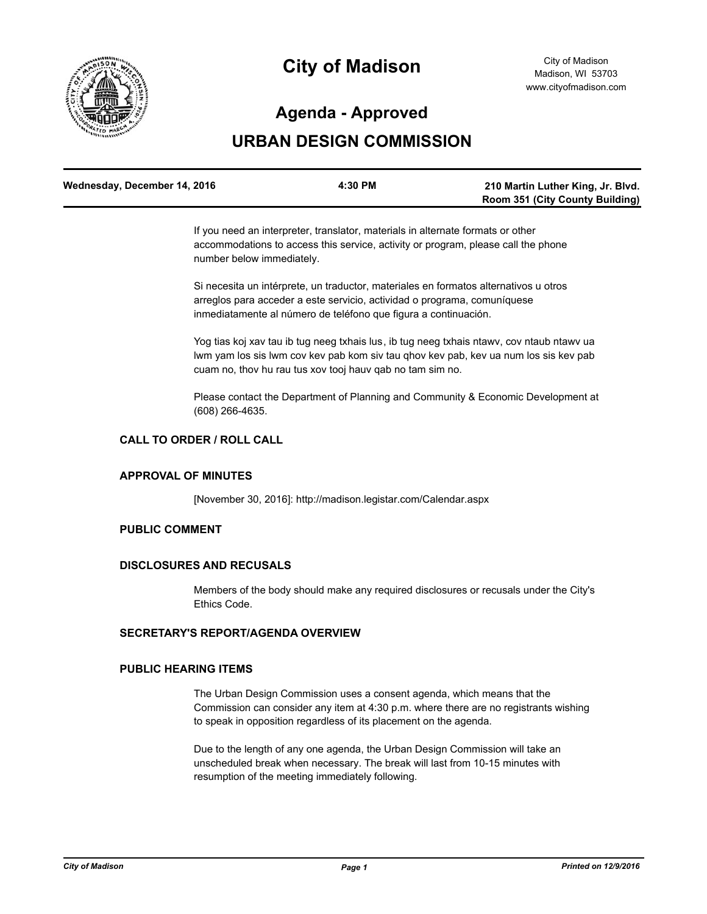

# **City of Madison**

## **Agenda - Approved**

# **URBAN DESIGN COMMISSION**

| Wednesday, December 14, 2016 | 4:30 PM | 210 Martin Luther King, Jr. Blvd.      |
|------------------------------|---------|----------------------------------------|
|                              |         | <b>Room 351 (City County Building)</b> |

If you need an interpreter, translator, materials in alternate formats or other accommodations to access this service, activity or program, please call the phone number below immediately.

Si necesita un intérprete, un traductor, materiales en formatos alternativos u otros arreglos para acceder a este servicio, actividad o programa, comuníquese inmediatamente al número de teléfono que figura a continuación.

Yog tias koj xav tau ib tug neeg txhais lus, ib tug neeg txhais ntawv, cov ntaub ntawv ua lwm yam los sis lwm cov kev pab kom siv tau qhov kev pab, kev ua num los sis kev pab cuam no, thov hu rau tus xov tooj hauv qab no tam sim no.

Please contact the Department of Planning and Community & Economic Development at (608) 266-4635.

### **CALL TO ORDER / ROLL CALL**

#### **APPROVAL OF MINUTES**

[November 30, 2016]: http://madison.legistar.com/Calendar.aspx

#### **PUBLIC COMMENT**

#### **DISCLOSURES AND RECUSALS**

Members of the body should make any required disclosures or recusals under the City's Ethics Code.

#### **SECRETARY'S REPORT/AGENDA OVERVIEW**

#### **PUBLIC HEARING ITEMS**

The Urban Design Commission uses a consent agenda, which means that the Commission can consider any item at 4:30 p.m. where there are no registrants wishing to speak in opposition regardless of its placement on the agenda.

Due to the length of any one agenda, the Urban Design Commission will take an unscheduled break when necessary. The break will last from 10-15 minutes with resumption of the meeting immediately following.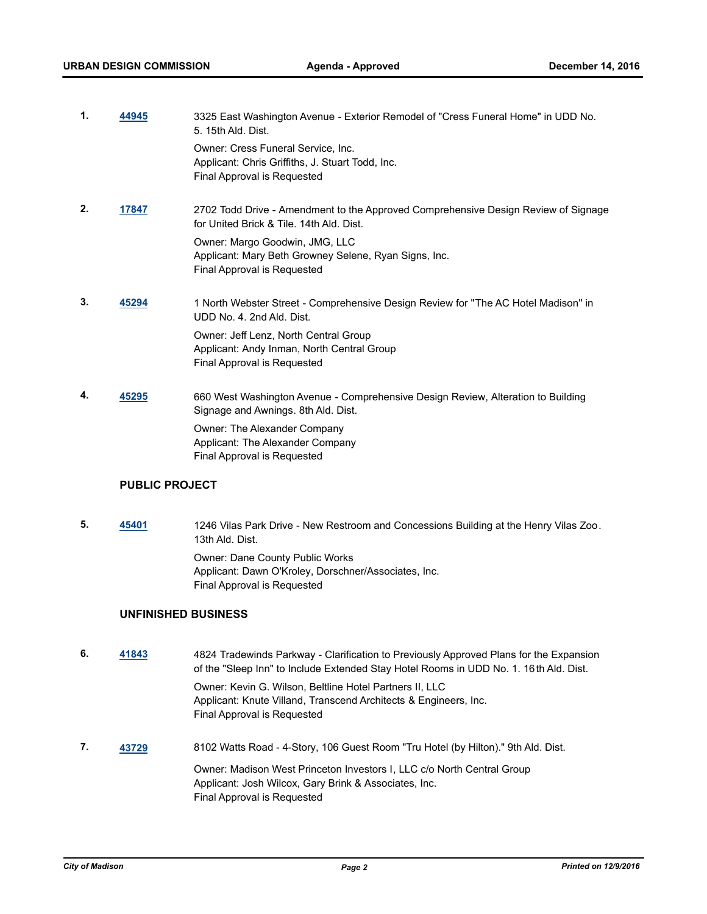| 1. | 44945 | 3325 East Washington Avenue - Exterior Remodel of "Cress Funeral Home" in UDD No.<br>5. 15th Ald. Dist.                        |
|----|-------|--------------------------------------------------------------------------------------------------------------------------------|
|    |       | Owner: Cress Funeral Service, Inc.<br>Applicant: Chris Griffiths, J. Stuart Todd, Inc.<br>Final Approval is Requested          |
| 2. | 17847 | 2702 Todd Drive - Amendment to the Approved Comprehensive Design Review of Signage<br>for United Brick & Tile, 14th Ald, Dist. |
|    |       | Owner: Margo Goodwin, JMG, LLC<br>Applicant: Mary Beth Growney Selene, Ryan Signs, Inc.<br>Final Approval is Requested         |
| 3. | 45294 | 1 North Webster Street - Comprehensive Design Review for "The AC Hotel Madison" in<br>UDD No. 4. 2nd Ald. Dist.                |
|    |       | Owner: Jeff Lenz, North Central Group<br>Applicant: Andy Inman, North Central Group<br>Final Approval is Requested             |
| 4. | 45295 | 660 West Washington Avenue - Comprehensive Design Review, Alteration to Building<br>Signage and Awnings. 8th Ald. Dist.        |
|    |       | Owner: The Alexander Company<br>Applicant: The Alexander Company<br>Final Approval is Requested                                |
|    |       |                                                                                                                                |

#### **PUBLIC PROJECT**

**5. [45401](http://madison.legistar.com/gateway.aspx?m=l&id=/matter.aspx?key=49510)** 1246 Vilas Park Drive - New Restroom and Concessions Building at the Henry Vilas Zoo. 13th Ald. Dist. Owner: Dane County Public Works Applicant: Dawn O'Kroley, Dorschner/Associates, Inc. Final Approval is Requested

#### **UNFINISHED BUSINESS**

**6. [41843](http://madison.legistar.com/gateway.aspx?m=l&id=/matter.aspx?key=46185)** 4824 Tradewinds Parkway - Clarification to Previously Approved Plans for the Expansion of the "Sleep Inn" to Include Extended Stay Hotel Rooms in UDD No. 1. 16th Ald. Dist. Owner: Kevin G. Wilson, Beltline Hotel Partners II, LLC Applicant: Knute Villand, Transcend Architects & Engineers, Inc. Final Approval is Requested **7. [43729](http://madison.legistar.com/gateway.aspx?m=l&id=/matter.aspx?key=47935)** 8102 Watts Road - 4-Story, 106 Guest Room "Tru Hotel (by Hilton)." 9th Ald. Dist.

Owner: Madison West Princeton Investors I, LLC c/o North Central Group Applicant: Josh Wilcox, Gary Brink & Associates, Inc. Final Approval is Requested